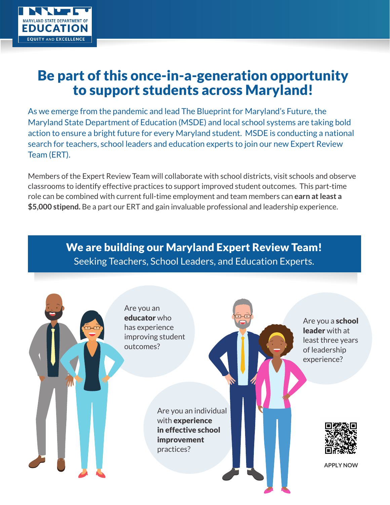

# Be part of this once-in-a-generation opportunity to support students across Maryland!

As we emerge from the pandemic and lead The Blueprint for Maryland's Future, the Maryland State Department of Education (MSDE) and local school systems are taking bold action to ensure a bright future for every Maryland student. MSDE is conducting a national search for teachers, school leaders and education experts to join our new Expert Review Team (ERT).

Members of the Expert Review Team will collaborate with school districts, visit schools and observe classrooms to identify effective practices to support improved student outcomes. This part-time role can be combined with current full-time employment and team members can **earn at least a \$5,000 stipend.** Be a part our ERT and gain invaluable professional and leadership experience.